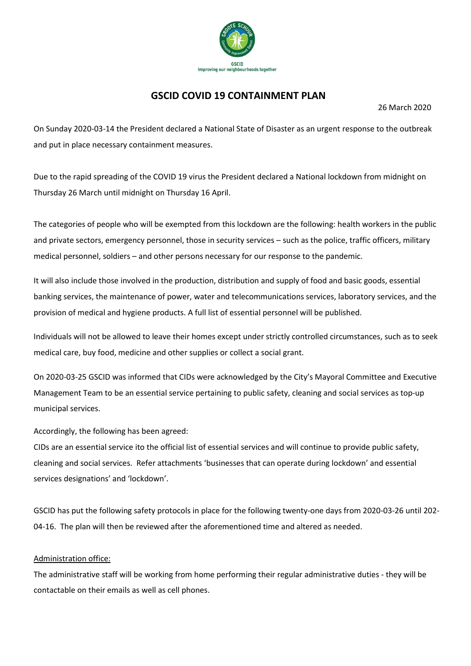

# **GSCID COVID 19 CONTAINMENT PLAN**

26 March 2020

On Sunday 2020-03-14 the President declared a National State of Disaster as an urgent response to the outbreak and put in place necessary containment measures.

Due to the rapid spreading of the COVID 19 virus the President declared a National lockdown from midnight on Thursday 26 March until midnight on Thursday 16 April.

The categories of people who will be exempted from this lockdown are the following: health workers in the public and private sectors, emergency personnel, those in security services – such as the police, traffic officers, military medical personnel, soldiers – and other persons necessary for our response to the pandemic.

It will also include those involved in the production, distribution and supply of food and basic goods, essential banking services, the maintenance of power, water and telecommunications services, laboratory services, and the provision of medical and hygiene products. A full list of essential personnel will be published.

Individuals will not be allowed to leave their homes except under strictly controlled circumstances, such as to seek medical care, buy food, medicine and other supplies or collect a social grant.

On 2020-03-25 GSCID was informed that CIDs were acknowledged by the City's Mayoral Committee and Executive Management Team to be an essential service pertaining to public safety, cleaning and social services as top-up municipal services.

Accordingly, the following has been agreed:

CIDs are an essential service ito the official list of essential services and will continue to provide public safety, cleaning and social services. Refer attachments 'businesses that can operate during lockdown' and essential services designations' and 'lockdown'.

GSCID has put the following safety protocols in place for the following twenty-one days from 2020-03-26 until 202- 04-16. The plan will then be reviewed after the aforementioned time and altered as needed.

## Administration office:

The administrative staff will be working from home performing their regular administrative duties - they will be contactable on their emails as well as cell phones.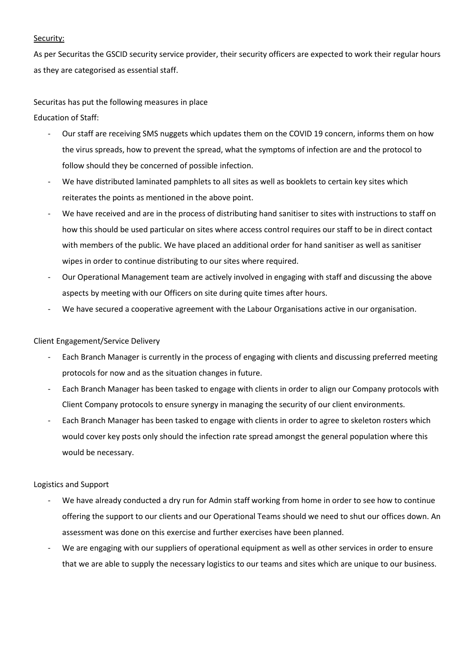### Security:

As per Securitas the GSCID security service provider, their security officers are expected to work their regular hours as they are categorised as essential staff.

Securitas has put the following measures in place

Education of Staff:

- Our staff are receiving SMS nuggets which updates them on the COVID 19 concern, informs them on how the virus spreads, how to prevent the spread, what the symptoms of infection are and the protocol to follow should they be concerned of possible infection.
- We have distributed laminated pamphlets to all sites as well as booklets to certain key sites which reiterates the points as mentioned in the above point.
- We have received and are in the process of distributing hand sanitiser to sites with instructions to staff on how this should be used particular on sites where access control requires our staff to be in direct contact with members of the public. We have placed an additional order for hand sanitiser as well as sanitiser wipes in order to continue distributing to our sites where required.
- Our Operational Management team are actively involved in engaging with staff and discussing the above aspects by meeting with our Officers on site during quite times after hours.
- We have secured a cooperative agreement with the Labour Organisations active in our organisation.

## Client Engagement/Service Delivery

- Each Branch Manager is currently in the process of engaging with clients and discussing preferred meeting protocols for now and as the situation changes in future.
- Each Branch Manager has been tasked to engage with clients in order to align our Company protocols with Client Company protocols to ensure synergy in managing the security of our client environments.
- Each Branch Manager has been tasked to engage with clients in order to agree to skeleton rosters which would cover key posts only should the infection rate spread amongst the general population where this would be necessary.

## Logistics and Support

- We have already conducted a dry run for Admin staff working from home in order to see how to continue offering the support to our clients and our Operational Teams should we need to shut our offices down. An assessment was done on this exercise and further exercises have been planned.
- We are engaging with our suppliers of operational equipment as well as other services in order to ensure that we are able to supply the necessary logistics to our teams and sites which are unique to our business.